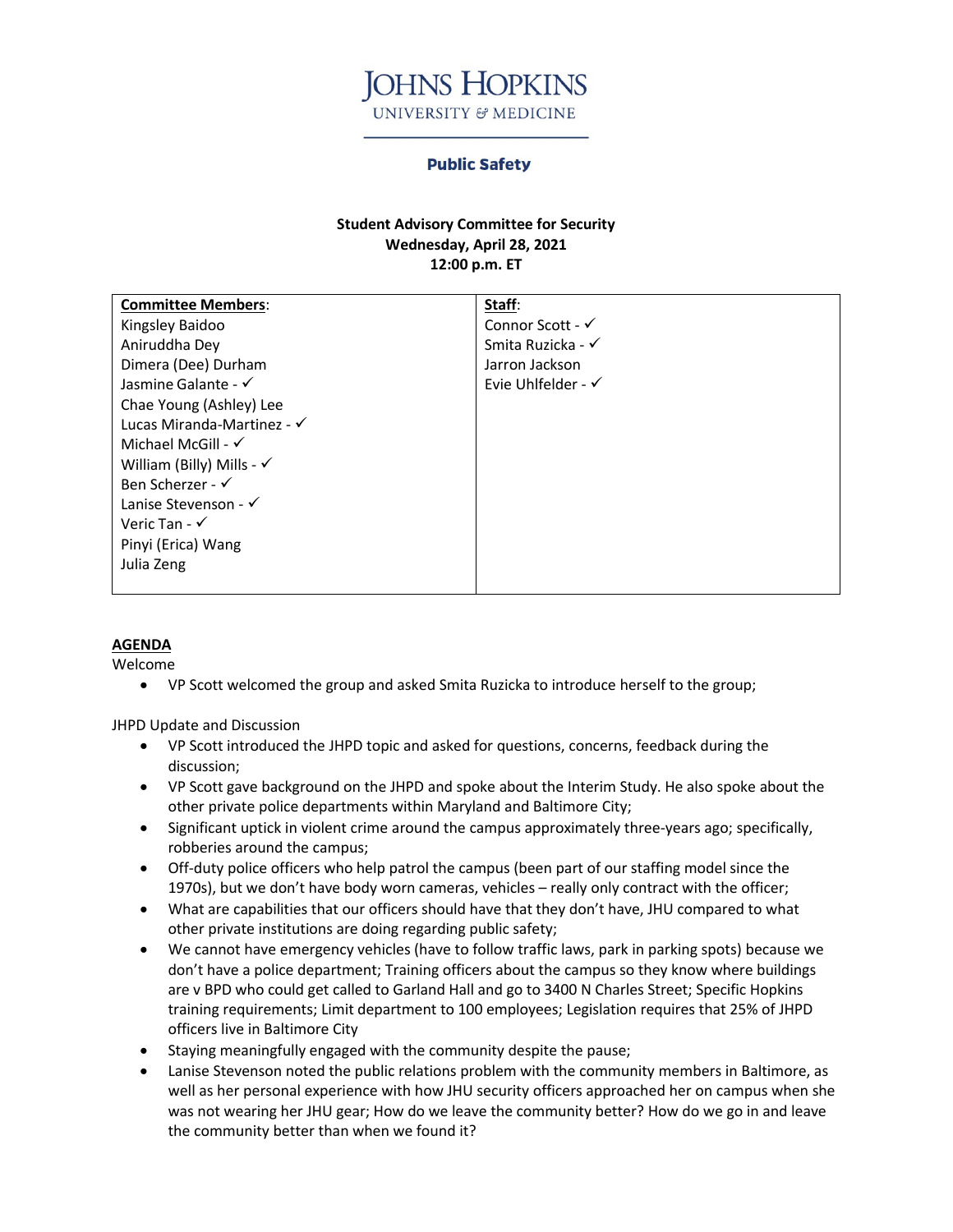

## **Public Safety**

## **Student Advisory Committee for Security Wednesday, April 28, 2021 12:00 p.m. ET**

| <b>Committee Members:</b>            | Staff:                        |
|--------------------------------------|-------------------------------|
| Kingsley Baidoo                      | Connor Scott - $\checkmark$   |
| Aniruddha Dey                        | Smita Ruzicka - √             |
| Dimera (Dee) Durham                  | Jarron Jackson                |
| Jasmine Galante - √                  | Evie Uhlfelder - $\checkmark$ |
| Chae Young (Ashley) Lee              |                               |
| Lucas Miranda-Martinez - √           |                               |
| Michael McGill - $\checkmark$        |                               |
| William (Billy) Mills - $\checkmark$ |                               |
| Ben Scherzer - √                     |                               |
| Lanise Stevenson - √                 |                               |
| Veric Tan - $\checkmark$             |                               |
| Pinyi (Erica) Wang                   |                               |
| Julia Zeng                           |                               |
|                                      |                               |

## **AGENDA**

Welcome

• VP Scott welcomed the group and asked Smita Ruzicka to introduce herself to the group;

JHPD Update and Discussion

- VP Scott introduced the JHPD topic and asked for questions, concerns, feedback during the discussion;
- VP Scott gave background on the JHPD and spoke about the Interim Study. He also spoke about the other private police departments within Maryland and Baltimore City;
- Significant uptick in violent crime around the campus approximately three-years ago; specifically, robberies around the campus;
- Off-duty police officers who help patrol the campus (been part of our staffing model since the 1970s), but we don't have body worn cameras, vehicles – really only contract with the officer;
- What are capabilities that our officers should have that they don't have, JHU compared to what other private institutions are doing regarding public safety;
- We cannot have emergency vehicles (have to follow traffic laws, park in parking spots) because we don't have a police department; Training officers about the campus so they know where buildings are v BPD who could get called to Garland Hall and go to 3400 N Charles Street; Specific Hopkins training requirements; Limit department to 100 employees; Legislation requires that 25% of JHPD officers live in Baltimore City
- Staying meaningfully engaged with the community despite the pause;
- Lanise Stevenson noted the public relations problem with the community members in Baltimore, as well as her personal experience with how JHU security officers approached her on campus when she was not wearing her JHU gear; How do we leave the community better? How do we go in and leave the community better than when we found it?